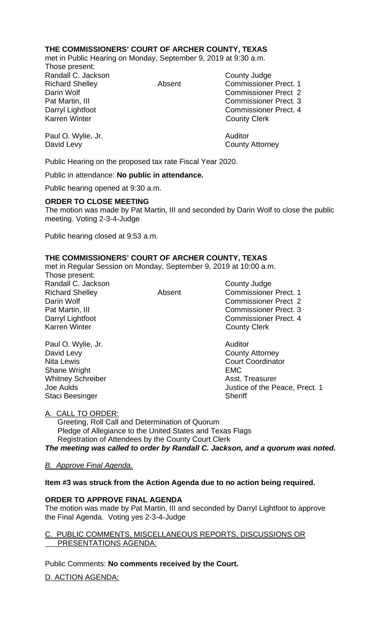# **THE COMMISSIONERS' COURT OF ARCHER COUNTY, TEXAS**

met in Public Hearing on Monday, September 9, 2019 at 9:30 a.m.

Those present: Randall C. Jackson County Judge

Richard Shelley **Absent** Commissioner Prect. 1 Darin Wolf Commissioner Prect 2 Pat Martin, III Commissioner Prect. 3 Darryl Lightfoot **Commissioner Prect. 4**<br>
Karren Winter **County County Clerk County Clerk** 

Paul O. Wylie, Jr. **Auditor** Auditor David Levy **County Attorney** 

Public Hearing on the proposed tax rate Fiscal Year 2020.

Public in attendance: **No public in attendance.**

Public hearing opened at 9:30 a.m.

## **ORDER TO CLOSE MEETING**

The motion was made by Pat Martin, III and seconded by Darin Wolf to close the public meeting. Voting 2-3-4-Judge

Public hearing closed at 9:53 a.m.

# **THE COMMISSIONERS' COURT OF ARCHER COUNTY, TEXAS**

met in Regular Session on Monday, September 9, 2019 at 10:00 a.m.

Those present: Randall C. Jackson County Judge

Richard Shelley **Absent** Commissioner Prect. 1<br>Darin Wolf **Commissioner Prect** 2 Commissioner Prect 2 Pat Martin, III Commissioner Prect. 3 Darryl Lightfoot **Commissioner Prect. 4**<br>
Karren Winter **County Clerk County Clerk** 

Paul O. Wylie, Jr. **Auditor Paul O. Wylie, Jr. Auditor** David Levy **County Attorney** Nita Lewis **Nita Lewis** Court Coordinator Shane Wright **EMC** Whitney Schreiber **Asst. Treasurer** Asst. Treasurer Staci Beesinger Sheriff

Joe Aulds Justice of the Peace, Prect. 1

#### A. CALL TO ORDER:

 Greeting, Roll Call and Determination of Quorum Pledge of Allegiance to the United States and Texas Flags Registration of Attendees by the County Court Clerk *The meeting was called to order by Randall C. Jackson, and a quorum was noted.*

# *B. Approve Final Agenda.*

#### **Item #3 was struck from the Action Agenda due to no action being required.**

# **ORDER TO APPROVE FINAL AGENDA**

The motion was made by Pat Martin, III and seconded by Darryl Lightfoot to approve the Final Agenda. Voting yes 2-3-4-Judge

## PUBLIC COMMENTS, MISCELLANEOUS REPORTS, DISCUSSIONS OR PRESENTATIONS AGENDA:

Public Comments: **No comments received by the Court.**

### D. ACTION AGENDA: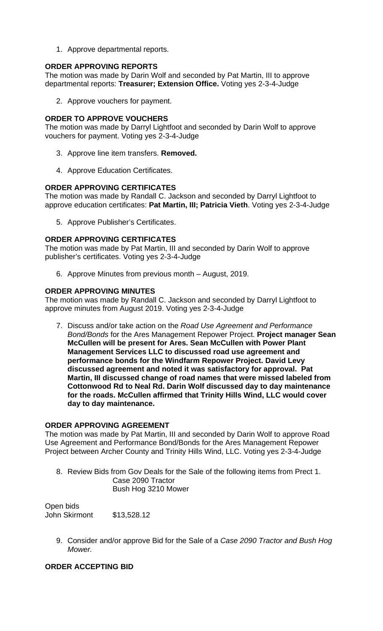1. Approve departmental reports.

## **ORDER APPROVING REPORTS**

The motion was made by Darin Wolf and seconded by Pat Martin, III to approve departmental reports: **Treasurer; Extension Office.** Voting yes 2-3-4-Judge

2. Approve vouchers for payment.

## **ORDER TO APPROVE VOUCHERS**

The motion was made by Darryl Lightfoot and seconded by Darin Wolf to approve vouchers for payment. Voting yes 2-3-4-Judge

- 3. Approve line item transfers. **Removed.**
- 4. Approve Education Certificates.

## **ORDER APPROVING CERTIFICATES**

The motion was made by Randall C. Jackson and seconded by Darryl Lightfoot to approve education certificates: **Pat Martin, III; Patricia Vieth**. Voting yes 2-3-4-Judge

5. Approve Publisher's Certificates.

## **ORDER APPROVING CERTIFICATES**

The motion was made by Pat Martin, III and seconded by Darin Wolf to approve publisher's certificates. Voting yes 2-3-4-Judge

6. Approve Minutes from previous month – August, 2019.

## **ORDER APPROVING MINUTES**

The motion was made by Randall C. Jackson and seconded by Darryl Lightfoot to approve minutes from August 2019. Voting yes 2-3-4-Judge

7. Discuss and/or take action on the *Road Use Agreement and Performance Bond/Bonds* for the Ares Management Repower Project. **Project manager Sean McCullen will be present for Ares. Sean McCullen with Power Plant Management Services LLC to discussed road use agreement and performance bonds for the Windfarm Repower Project. David Levy discussed agreement and noted it was satisfactory for approval. Pat Martin, III discussed change of road names that were missed labeled from Cottonwood Rd to Neal Rd. Darin Wolf discussed day to day maintenance for the roads. McCullen affirmed that Trinity Hills Wind, LLC would cover day to day maintenance.**

#### **ORDER APPROVING AGREEMENT**

The motion was made by Pat Martin, III and seconded by Darin Wolf to approve Road Use Agreement and Performance Bond/Bonds for the Ares Management Repower Project between Archer County and Trinity Hills Wind, LLC. Voting yes 2-3-4-Judge

8. Review Bids from Gov Deals for the Sale of the following items from Prect 1. Case 2090 Tractor Bush Hog 3210 Mower

Open bids John Skirmont \$13,528.12

> 9. Consider and/or approve Bid for the Sale of a *Case 2090 Tractor and Bush Hog Mower.*

**ORDER ACCEPTING BID**